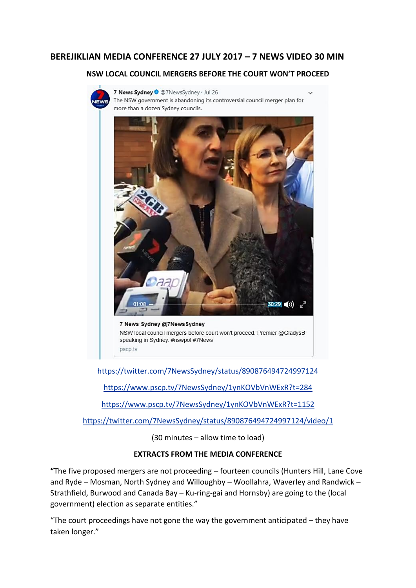## **BEREJIKLIAN MEDIA CONFERENCE 27 JULY 2017 – 7 NEWS VIDEO 30 MIN**

## **NSW LOCAL COUNCIL MERGERS BEFORE THE COURT WON'T PROCEED**



7 News Sydney O @7NewsSydney · Jul 26 The NSW government is abandoning its controversial council merger plan for more than a dozen Sydney councils.



<https://twitter.com/7NewsSydney/status/890876494724997124>

<https://www.pscp.tv/7NewsSydney/1ynKOVbVnWExR?t=284>

<https://www.pscp.tv/7NewsSydney/1ynKOVbVnWExR?t=1152>

<https://twitter.com/7NewsSydney/status/890876494724997124/video/1>

(30 minutes – allow time to load)

## **EXTRACTS FROM THE MEDIA CONFERENCE**

**"**The five proposed mergers are not proceeding – fourteen councils (Hunters Hill, Lane Cove and Ryde – Mosman, North Sydney and Willoughby – Woollahra, Waverley and Randwick – Strathfield, Burwood and Canada Bay – Ku-ring-gai and Hornsby) are going to the (local government) election as separate entities."

"The court proceedings have not gone the way the government anticipated – they have taken longer."